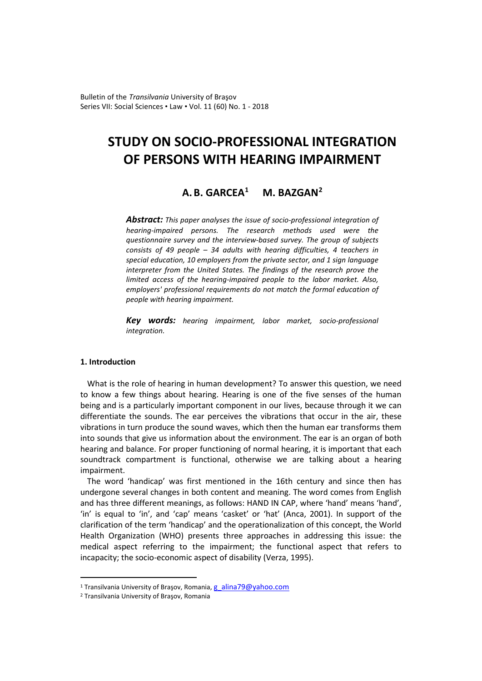Bulletin of the *Transilvania* University of Braşov Series VII: Social Sciences • Law • Vol. 11 (60) No. 1 - 2018

# **STUDY ON SOCIO-PROFESSIONAL INTEGRATION OF PERSONS WITH HEARING IMPAIRMENT**

# **A.B. GARCEA[1](#page-0-0) M. BAZGAN[2](#page-0-1)**

*Abstract: This paper analyses the issue of socio-professional integration of hearing-impaired persons. The research methods used were the questionnaire survey and the interview-based survey. The group of subjects consists of 49 people – 34 adults with hearing difficulties, 4 teachers in special education, 10 employers from the private sector, and 1 sign language interpreter from the United States. The findings of the research prove the limited access of the hearing-impaired people to the labor market. Also, employers' professional requirements do not match the formal education of people with hearing impairment.*

*Key words: hearing impairment, labor market, socio-professional integration.*

# **1. Introduction**

What is the role of hearing in human development? To answer this question, we need to know a few things about hearing. Hearing is one of the five senses of the human being and is a particularly important component in our lives, because through it we can differentiate the sounds. The ear perceives the vibrations that occur in the air, these vibrations in turn produce the sound waves, which then the human ear transforms them into sounds that give us information about the environment. The ear is an organ of both hearing and balance. For proper functioning of normal hearing, it is important that each soundtrack compartment is functional, otherwise we are talking about a hearing impairment.

The word 'handicap' was first mentioned in the 16th century and since then has undergone several changes in both content and meaning. The word comes from English and has three different meanings, as follows: HAND IN CAP, where 'hand' means 'hand', 'in' is equal to 'in', and 'cap' means 'casket' or 'hat' (Anca, 2001). In support of the clarification of the term 'handicap' and the operationalization of this concept, the World Health Organization (WHO) presents three approaches in addressing this issue: the medical aspect referring to the impairment; the functional aspect that refers to incapacity; the socio-economic aspect of disability (Verza, 1995).

 $\overline{a}$ 

<span id="page-0-0"></span><sup>&</sup>lt;sup>1</sup> Transilvania University of Brașov, Romania, [g\\_alina79@yahoo.com](mailto:g_alina79@yahoo.com)

<span id="page-0-1"></span><sup>2</sup> Transilvania University of Braşov, Romania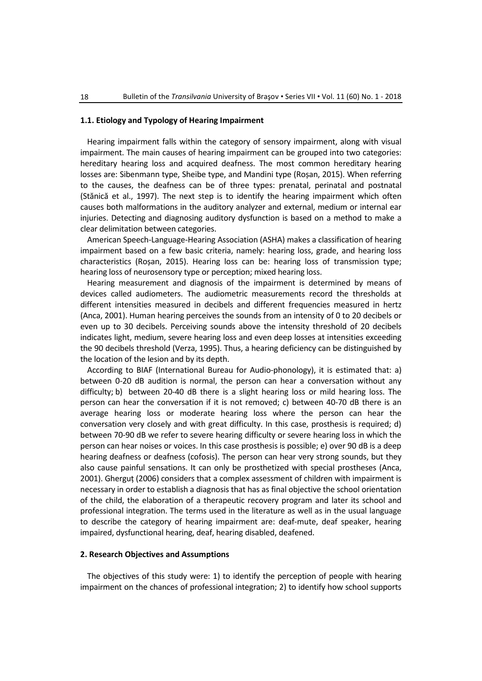## **1.1. Etiology and Typology of Hearing Impairment**

Hearing impairment falls within the category of sensory impairment, along with visual impairment. The main causes of hearing impairment can be grouped into two categories: hereditary hearing loss and acquired deafness. The most common hereditary hearing losses are: Sibenmann type, Sheibe type, and Mandini type (Roșan, 2015). When referring to the causes, the deafness can be of three types: prenatal, perinatal and postnatal (Stănică et al., 1997). The next step is to identify the hearing impairment which often causes both malformations in the auditory analyzer and external, medium or internal ear injuries. Detecting and diagnosing auditory dysfunction is based on a method to make a clear delimitation between categories.

American Speech-Language-Hearing Association (ASHA) makes a classification of hearing impairment based on a few basic criteria, namely: hearing loss, grade, and hearing loss characteristics (Roșan, 2015). Hearing loss can be: hearing loss of transmission type; hearing loss of neurosensory type or perception; mixed hearing loss.

Hearing measurement and diagnosis of the impairment is determined by means of devices called audiometers. The audiometric measurements record the thresholds at different intensities measured in decibels and different frequencies measured in hertz (Anca, 2001). Human hearing perceives the sounds from an intensity of 0 to 20 decibels or even up to 30 decibels. Perceiving sounds above the intensity threshold of 20 decibels indicates light, medium, severe hearing loss and even deep losses at intensities exceeding the 90 decibels threshold (Verza, 1995). Thus, a hearing deficiency can be distinguished by the location of the lesion and by its depth.

According to BIAF (International Bureau for Audio-phonology), it is estimated that: a) between 0-20 dB audition is normal, the person can hear a conversation without any difficulty; b) between 20-40 dB there is a slight hearing loss or mild hearing loss. The person can hear the conversation if it is not removed; c) between 40-70 dB there is an average hearing loss or moderate hearing loss where the person can hear the conversation very closely and with great difficulty. In this case, prosthesis is required; d) between 70-90 dB we refer to severe hearing difficulty or severe hearing loss in which the person can hear noises or voices. In this case prosthesis is possible; e) over 90 dB is a deep hearing deafness or deafness (cofosis). The person can hear very strong sounds, but they also cause painful sensations. It can only be prosthetized with special prostheses (Anca, 2001). Gherguț (2006) considers that a complex assessment of children with impairment is necessary in order to establish a diagnosis that has as final objective the school orientation of the child, the elaboration of a therapeutic recovery program and later its school and professional integration. The terms used in the literature as well as in the usual language to describe the category of hearing impairment are: deaf-mute, deaf speaker, hearing impaired, dysfunctional hearing, deaf, hearing disabled, deafened.

# **2. Research Objectives and Assumptions**

The objectives of this study were: 1) to identify the perception of people with hearing impairment on the chances of professional integration; 2) to identify how school supports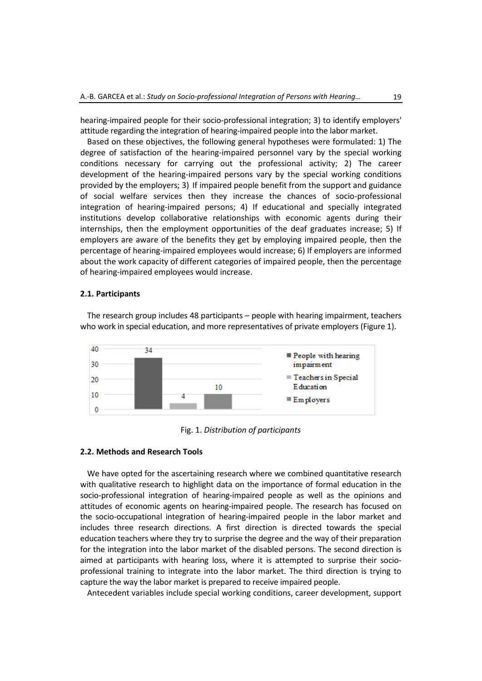hearing-impaired people for their socio-professional integration; 3) to identify employers' attitude regarding the integration of hearing-impaired people into the labor market.

Based on these objectives, the following general hypotheses were formulated: 1) The degree of satisfaction of the hearing-impaired personnel vary by the special working conditions necessary for carrying out the professional activity; 2) The career development of the hearing-impaired persons vary by the special working conditions provided by the employers; 3) If impaired people benefit from the support and guidance of social welfare services then they increase the chances of socio-professional integration of hearing-impaired persons; 4) If educational and specially integrated institutions develop collaborative relationships with economic agents during their internships, then the employment opportunities of the deaf graduates increase; 5) If employers are aware of the benefits they get by employing impaired people, then the percentage of hearing-impaired employees would increase; 6) If employers are informed about the work capacity of different categories of impaired people, then the percentage of hearing-impaired employees would increase.

#### **2.1. Participants**

The research group includes 48 participants – people with hearing impairment, teachers who work in special education, and more representatives of private employers (Figure 1).



Fig. 1. *Distribution of participants*

### **2.2. Methods and Research Tools**

We have opted for the ascertaining research where we combined quantitative research with qualitative research to highlight data on the importance of formal education in the socio-professional integration of hearing-impaired people as well as the opinions and attitudes of economic agents on hearing-impaired people. The research has focused on the socio-occupational integration of hearing-impaired people in the labor market and includes three research directions. A first direction is directed towards the special education teachers where they try to surprise the degree and the way of their preparation for the integration into the labor market of the disabled persons. The second direction is aimed at participants with hearing loss, where it is attempted to surprise their socioprofessional training to integrate into the labor market. The third direction is trying to capture the way the labor market is prepared to receive impaired people.

Antecedent variables include special working conditions, career development, support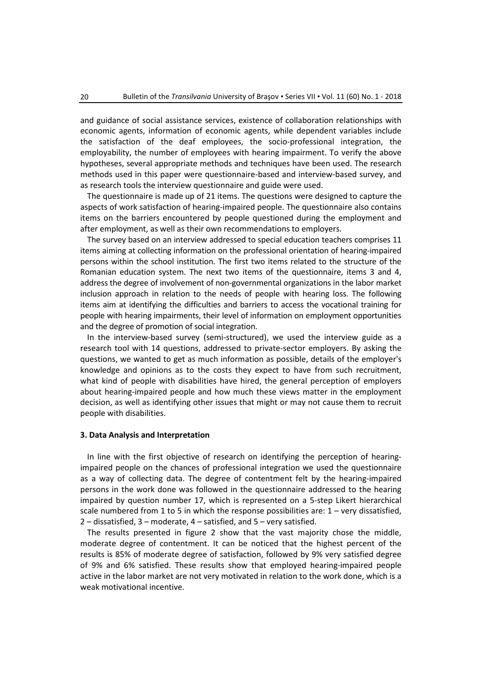and guidance of social assistance services, existence of collaboration relationships with economic agents, information of economic agents, while dependent variables include the satisfaction of the deaf employees, the socio-professional integration, the employability, the number of employees with hearing impairment. To verify the above hypotheses, several appropriate methods and techniques have been used. The research methods used in this paper were questionnaire-based and interview-based survey, and as research tools the interview questionnaire and guide were used.

The questionnaire is made up of 21 items. The questions were designed to capture the aspects of work satisfaction of hearing-impaired people. The questionnaire also contains items on the barriers encountered by people questioned during the employment and after employment, as well as their own recommendations to employers.

The survey based on an interview addressed to special education teachers comprises 11 items aiming at collecting information on the professional orientation of hearing-impaired persons within the school institution. The first two items related to the structure of the Romanian education system. The next two items of the questionnaire, items 3 and 4, address the degree of involvement of non-governmental organizations in the labor market inclusion approach in relation to the needs of people with hearing loss. The following items aim at identifying the difficulties and barriers to access the vocational training for people with hearing impairments, their level of information on employment opportunities and the degree of promotion of social integration.

In the interview-based survey (semi-structured), we used the interview guide as a research tool with 14 questions, addressed to private-sector employers. By asking the questions, we wanted to get as much information as possible, details of the employer's knowledge and opinions as to the costs they expect to have from such recruitment, what kind of people with disabilities have hired, the general perception of employers about hearing-impaired people and how much these views matter in the employment decision, as well as identifying other issues that might or may not cause them to recruit people with disabilities.

#### **3. Data Analysis and Interpretation**

In line with the first objective of research on identifying the perception of hearingimpaired people on the chances of professional integration we used the questionnaire as a way of collecting data. The degree of contentment felt by the hearing-impaired persons in the work done was followed in the questionnaire addressed to the hearing impaired by question number 17, which is represented on a 5-step Likert hierarchical scale numbered from 1 to 5 in which the response possibilities are:  $1 -$  very dissatisfied, 2 – dissatisfied, 3 – moderate, 4 – satisfied, and 5 – very satisfied.

The results presented in figure 2 show that the vast majority chose the middle, moderate degree of contentment. It can be noticed that the highest percent of the results is 85% of moderate degree of satisfaction, followed by 9% very satisfied degree of 9% and 6% satisfied. These results show that employed hearing-impaired people active in the labor market are not very motivated in relation to the work done, which is a weak motivational incentive.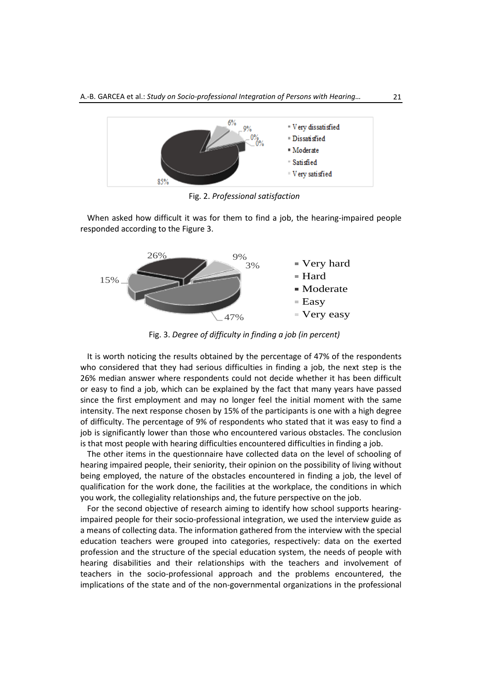

Fig. 2. *Professional satisfaction*

When asked how difficult it was for them to find a job, the hearing-impaired people responded according to the Figure 3.



Fig. 3. *Degree of difficulty in finding a job (in percent)*

It is worth noticing the results obtained by the percentage of 47% of the respondents who considered that they had serious difficulties in finding a job, the next step is the 26% median answer where respondents could not decide whether it has been difficult or easy to find a job, which can be explained by the fact that many years have passed since the first employment and may no longer feel the initial moment with the same intensity. The next response chosen by 15% of the participants is one with a high degree of difficulty. The percentage of 9% of respondents who stated that it was easy to find a job is significantly lower than those who encountered various obstacles. The conclusion is that most people with hearing difficulties encountered difficulties in finding a job.

The other items in the questionnaire have collected data on the level of schooling of hearing impaired people, their seniority, their opinion on the possibility of living without being employed, the nature of the obstacles encountered in finding a job, the level of qualification for the work done, the facilities at the workplace, the conditions in which you work, the collegiality relationships and, the future perspective on the job.

For the second objective of research aiming to identify how school supports hearingimpaired people for their socio-professional integration, we used the interview guide as a means of collecting data. The information gathered from the interview with the special education teachers were grouped into categories, respectively: data on the exerted profession and the structure of the special education system, the needs of people with hearing disabilities and their relationships with the teachers and involvement of teachers in the socio-professional approach and the problems encountered, the implications of the state and of the non-governmental organizations in the professional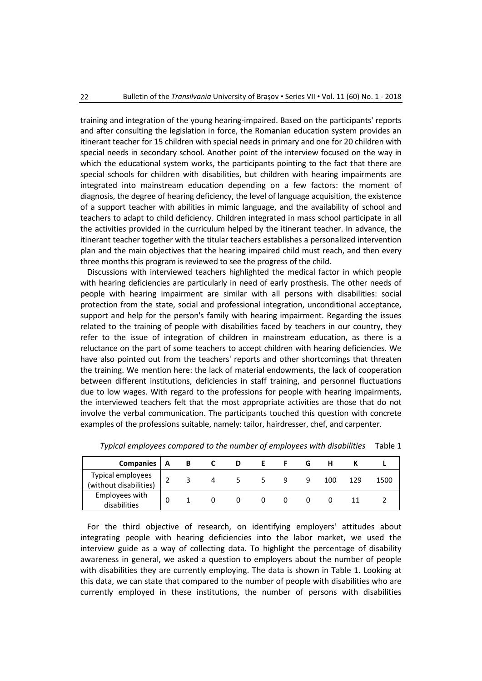training and integration of the young hearing-impaired. Based on the participants' reports and after consulting the legislation in force, the Romanian education system provides an itinerant teacher for 15 children with special needs in primary and one for 20 children with special needs in secondary school. Another point of the interview focused on the way in which the educational system works, the participants pointing to the fact that there are special schools for children with disabilities, but children with hearing impairments are integrated into mainstream education depending on a few factors: the moment of diagnosis, the degree of hearing deficiency, the level of language acquisition, the existence of a support teacher with abilities in mimic language, and the availability of school and teachers to adapt to child deficiency. Children integrated in mass school participate in all the activities provided in the curriculum helped by the itinerant teacher. In advance, the itinerant teacher together with the titular teachers establishes a personalized intervention plan and the main objectives that the hearing impaired child must reach, and then every three months this program is reviewed to see the progress of the child.

Discussions with interviewed teachers highlighted the medical factor in which people with hearing deficiencies are particularly in need of early prosthesis. The other needs of people with hearing impairment are similar with all persons with disabilities: social protection from the state, social and professional integration, unconditional acceptance, support and help for the person's family with hearing impairment. Regarding the issues related to the training of people with disabilities faced by teachers in our country, they refer to the issue of integration of children in mainstream education, as there is a reluctance on the part of some teachers to accept children with hearing deficiencies. We have also pointed out from the teachers' reports and other shortcomings that threaten the training. We mention here: the lack of material endowments, the lack of cooperation between different institutions, deficiencies in staff training, and personnel fluctuations due to low wages. With regard to the professions for people with hearing impairments, the interviewed teachers felt that the most appropriate activities are those that do not involve the verbal communication. The participants touched this question with concrete examples of the professions suitable, namely: tailor, hairdresser, chef, and carpenter.

| <b>Companies</b>                            | A | в            |  |   |   | G |     |     |      |
|---------------------------------------------|---|--------------|--|---|---|---|-----|-----|------|
| Typical employees<br>(without disabilities) |   | $\mathbf{R}$ |  | 5 | 9 | q | 100 | 129 | 1500 |
| Employees with<br>disabilities              | 0 |              |  |   |   |   |     |     |      |

*Typical employees compared to the number of employees with disabilities* Table 1

For the third objective of research, on identifying employers' attitudes about integrating people with hearing deficiencies into the labor market, we used the interview guide as a way of collecting data. To highlight the percentage of disability awareness in general, we asked a question to employers about the number of people with disabilities they are currently employing. The data is shown in Table 1. Looking at this data, we can state that compared to the number of people with disabilities who are currently employed in these institutions, the number of persons with disabilities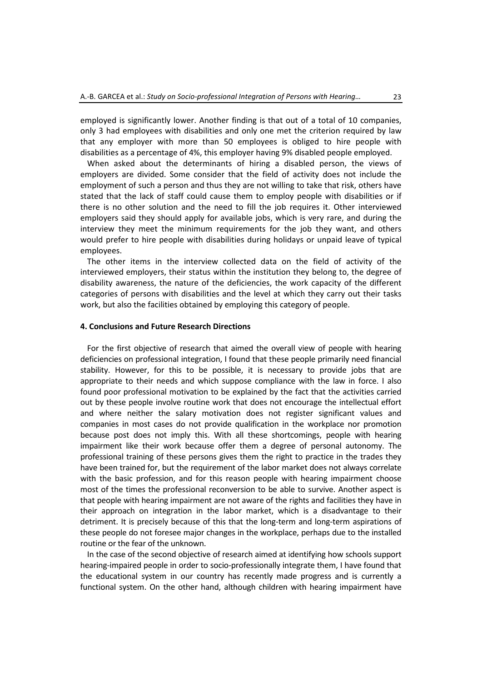employed is significantly lower. Another finding is that out of a total of 10 companies, only 3 had employees with disabilities and only one met the criterion required by law that any employer with more than 50 employees is obliged to hire people with disabilities as a percentage of 4%, this employer having 9% disabled people employed.

When asked about the determinants of hiring a disabled person, the views of employers are divided. Some consider that the field of activity does not include the employment of such a person and thus they are not willing to take that risk, others have stated that the lack of staff could cause them to employ people with disabilities or if there is no other solution and the need to fill the job requires it. Other interviewed employers said they should apply for available jobs, which is very rare, and during the interview they meet the minimum requirements for the job they want, and others would prefer to hire people with disabilities during holidays or unpaid leave of typical employees.

The other items in the interview collected data on the field of activity of the interviewed employers, their status within the institution they belong to, the degree of disability awareness, the nature of the deficiencies, the work capacity of the different categories of persons with disabilities and the level at which they carry out their tasks work, but also the facilities obtained by employing this category of people.

#### **4. Conclusions and Future Research Directions**

For the first objective of research that aimed the overall view of people with hearing deficiencies on professional integration, I found that these people primarily need financial stability. However, for this to be possible, it is necessary to provide jobs that are appropriate to their needs and which suppose compliance with the law in force. I also found poor professional motivation to be explained by the fact that the activities carried out by these people involve routine work that does not encourage the intellectual effort and where neither the salary motivation does not register significant values and companies in most cases do not provide qualification in the workplace nor promotion because post does not imply this. With all these shortcomings, people with hearing impairment like their work because offer them a degree of personal autonomy. The professional training of these persons gives them the right to practice in the trades they have been trained for, but the requirement of the labor market does not always correlate with the basic profession, and for this reason people with hearing impairment choose most of the times the professional reconversion to be able to survive. Another aspect is that people with hearing impairment are not aware of the rights and facilities they have in their approach on integration in the labor market, which is a disadvantage to their detriment. It is precisely because of this that the long-term and long-term aspirations of these people do not foresee major changes in the workplace, perhaps due to the installed routine or the fear of the unknown.

In the case of the second objective of research aimed at identifying how schools support hearing-impaired people in order to socio-professionally integrate them, I have found that the educational system in our country has recently made progress and is currently a functional system. On the other hand, although children with hearing impairment have